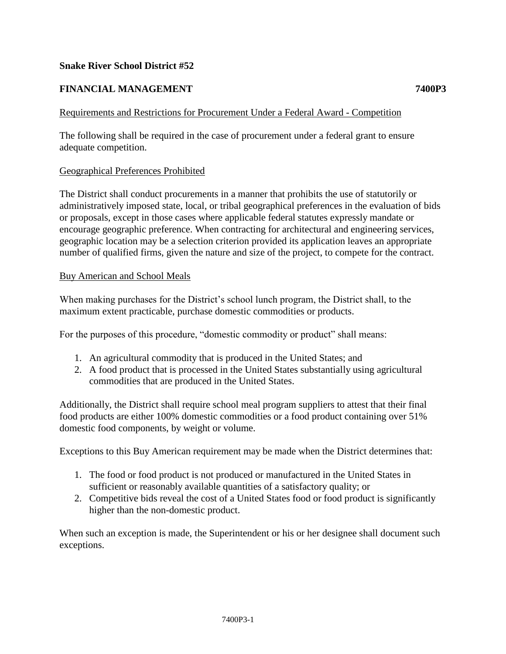# **Snake River School District #52**

# **FINANCIAL MANAGEMENT 7400P3**

## Requirements and Restrictions for Procurement Under a Federal Award - Competition

The following shall be required in the case of procurement under a federal grant to ensure adequate competition.

### Geographical Preferences Prohibited

The District shall conduct procurements in a manner that prohibits the use of statutorily or administratively imposed state, local, or tribal geographical preferences in the evaluation of bids or proposals, except in those cases where applicable federal statutes expressly mandate or encourage geographic preference. When contracting for architectural and engineering services, geographic location may be a selection criterion provided its application leaves an appropriate number of qualified firms, given the nature and size of the project, to compete for the contract.

#### Buy American and School Meals

When making purchases for the District's school lunch program, the District shall, to the maximum extent practicable, purchase domestic commodities or products.

For the purposes of this procedure, "domestic commodity or product" shall means:

- 1. An agricultural commodity that is produced in the United States; and
- 2. A food product that is processed in the United States substantially using agricultural commodities that are produced in the United States.

Additionally, the District shall require school meal program suppliers to attest that their final food products are either 100% domestic commodities or a food product containing over 51% domestic food components, by weight or volume.

Exceptions to this Buy American requirement may be made when the District determines that:

- 1. The food or food product is not produced or manufactured in the United States in sufficient or reasonably available quantities of a satisfactory quality; or
- 2. Competitive bids reveal the cost of a United States food or food product is significantly higher than the non-domestic product.

When such an exception is made, the Superintendent or his or her designee shall document such exceptions.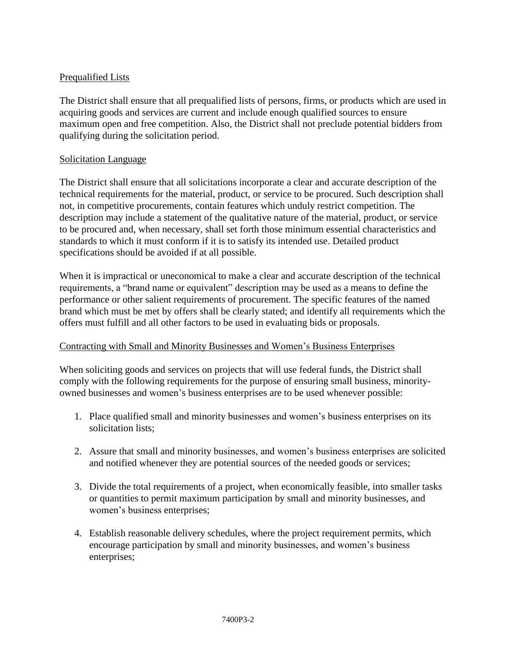# Prequalified Lists

The District shall ensure that all prequalified lists of persons, firms, or products which are used in acquiring goods and services are current and include enough qualified sources to ensure maximum open and free competition. Also, the District shall not preclude potential bidders from qualifying during the solicitation period.

## Solicitation Language

The District shall ensure that all solicitations incorporate a clear and accurate description of the technical requirements for the material, product, or service to be procured. Such description shall not, in competitive procurements, contain features which unduly restrict competition. The description may include a statement of the qualitative nature of the material, product, or service to be procured and, when necessary, shall set forth those minimum essential characteristics and standards to which it must conform if it is to satisfy its intended use. Detailed product specifications should be avoided if at all possible.

When it is impractical or uneconomical to make a clear and accurate description of the technical requirements, a "brand name or equivalent" description may be used as a means to define the performance or other salient requirements of procurement. The specific features of the named brand which must be met by offers shall be clearly stated; and identify all requirements which the offers must fulfill and all other factors to be used in evaluating bids or proposals.

### Contracting with Small and Minority Businesses and Women's Business Enterprises

When soliciting goods and services on projects that will use federal funds, the District shall comply with the following requirements for the purpose of ensuring small business, minorityowned businesses and women's business enterprises are to be used whenever possible:

- 1. Place qualified small and minority businesses and women's business enterprises on its solicitation lists;
- 2. Assure that small and minority businesses, and women's business enterprises are solicited and notified whenever they are potential sources of the needed goods or services;
- 3. Divide the total requirements of a project, when economically feasible, into smaller tasks or quantities to permit maximum participation by small and minority businesses, and women's business enterprises;
- 4. Establish reasonable delivery schedules, where the project requirement permits, which encourage participation by small and minority businesses, and women's business enterprises;